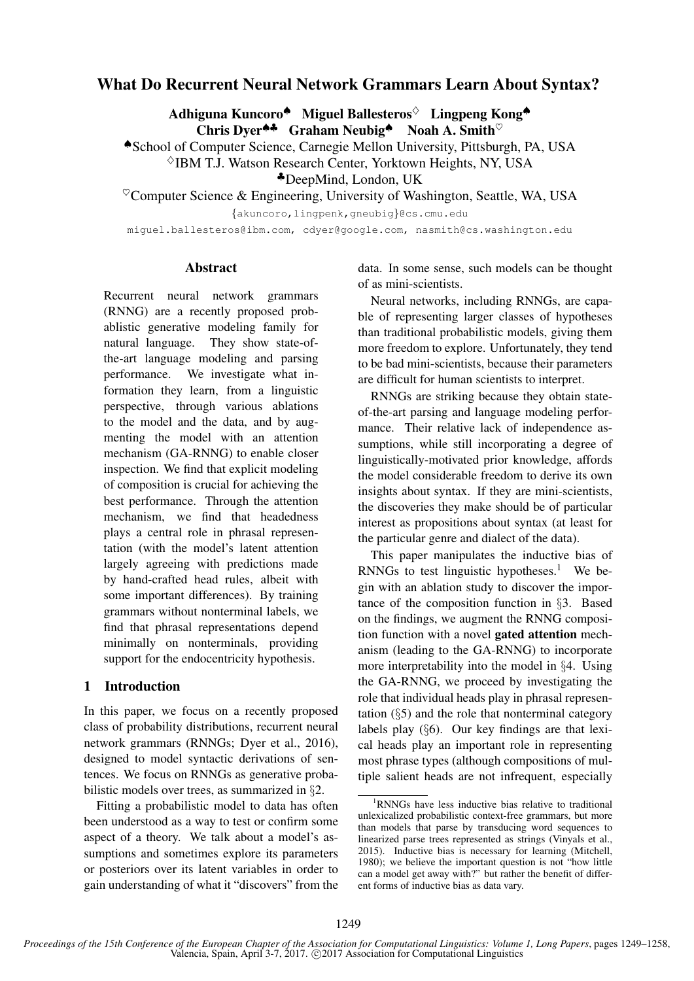# What Do Recurrent Neural Network Grammars Learn About Syntax?

Adhiguna Kuncoro<sup>◆</sup> Miguel Ballesteros<sup>◇</sup> Lingpeng Kong◆  $\overrightarrow{C}$ hris Dyer<sup>44</sup> Graham Neubig<sup>4</sup> Noah A. Smith<sup> $\heartsuit$ </sup>

♠School of Computer Science, Carnegie Mellon University, Pittsburgh, PA, USA

 $\Diamond$ IBM T.J. Watson Research Center, Yorktown Heights, NY, USA

♣DeepMind, London, UK

 $\textdegree$ Computer Science & Engineering, University of Washington, Seattle, WA, USA

{akuncoro,lingpenk,gneubig}@cs.cmu.edu

miguel.ballesteros@ibm.com, cdyer@google.com, nasmith@cs.washington.edu

### Abstract

Recurrent neural network grammars (RNNG) are a recently proposed probablistic generative modeling family for natural language. They show state-ofthe-art language modeling and parsing performance. We investigate what information they learn, from a linguistic perspective, through various ablations to the model and the data, and by augmenting the model with an attention mechanism (GA-RNNG) to enable closer inspection. We find that explicit modeling of composition is crucial for achieving the best performance. Through the attention mechanism, we find that headedness plays a central role in phrasal representation (with the model's latent attention largely agreeing with predictions made by hand-crafted head rules, albeit with some important differences). By training grammars without nonterminal labels, we find that phrasal representations depend minimally on nonterminals, providing support for the endocentricity hypothesis.

# 1 Introduction

In this paper, we focus on a recently proposed class of probability distributions, recurrent neural network grammars (RNNGs; Dyer et al., 2016), designed to model syntactic derivations of sentences. We focus on RNNGs as generative probabilistic models over trees, as summarized in §2.

Fitting a probabilistic model to data has often been understood as a way to test or confirm some aspect of a theory. We talk about a model's assumptions and sometimes explore its parameters or posteriors over its latent variables in order to gain understanding of what it "discovers" from the

data. In some sense, such models can be thought of as mini-scientists.

Neural networks, including RNNGs, are capable of representing larger classes of hypotheses than traditional probabilistic models, giving them more freedom to explore. Unfortunately, they tend to be bad mini-scientists, because their parameters are difficult for human scientists to interpret.

RNNGs are striking because they obtain stateof-the-art parsing and language modeling performance. Their relative lack of independence assumptions, while still incorporating a degree of linguistically-motivated prior knowledge, affords the model considerable freedom to derive its own insights about syntax. If they are mini-scientists, the discoveries they make should be of particular interest as propositions about syntax (at least for the particular genre and dialect of the data).

This paper manipulates the inductive bias of RNNGs to test linguistic hypotheses.<sup>1</sup> We begin with an ablation study to discover the importance of the composition function in §3. Based on the findings, we augment the RNNG composition function with a novel gated attention mechanism (leading to the GA-RNNG) to incorporate more interpretability into the model in §4. Using the GA-RNNG, we proceed by investigating the role that individual heads play in phrasal representation (§5) and the role that nonterminal category labels play (§6). Our key findings are that lexical heads play an important role in representing most phrase types (although compositions of multiple salient heads are not infrequent, especially

<sup>1</sup>RNNGs have less inductive bias relative to traditional unlexicalized probabilistic context-free grammars, but more than models that parse by transducing word sequences to linearized parse trees represented as strings (Vinyals et al., 2015). Inductive bias is necessary for learning (Mitchell, 1980); we believe the important question is not "how little can a model get away with?" but rather the benefit of different forms of inductive bias as data vary.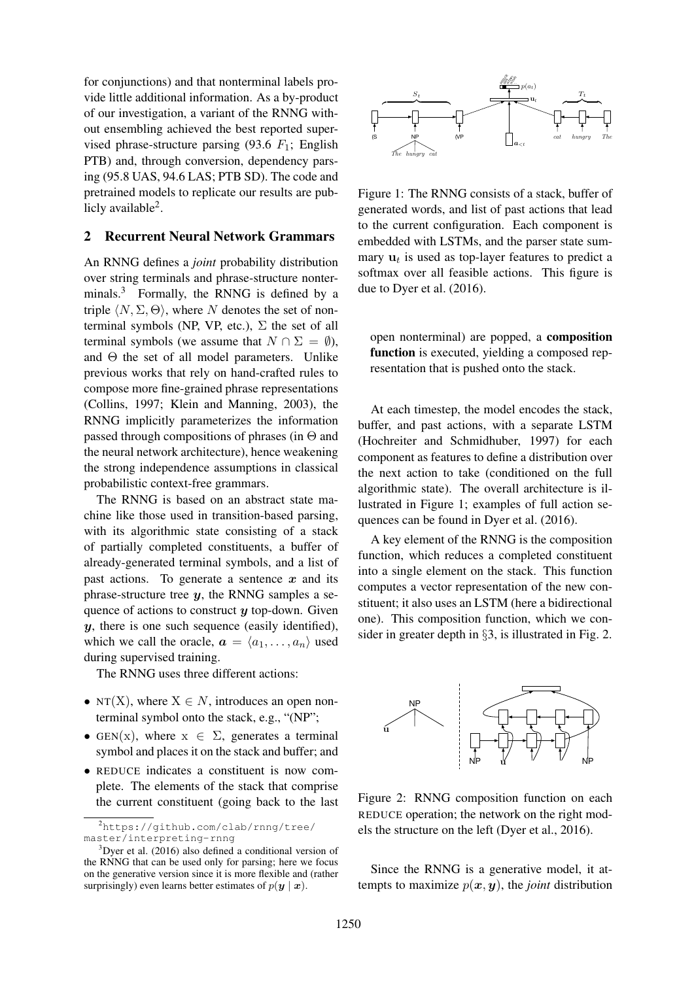for conjunctions) and that nonterminal labels provide little additional information. As a by-product of our investigation, a variant of the RNNG without ensembling achieved the best reported supervised phrase-structure parsing (93.6  $F_1$ ; English PTB) and, through conversion, dependency parsing (95.8 UAS, 94.6 LAS; PTB SD). The code and pretrained models to replicate our results are publicly available<sup>2</sup>.

# 2 Recurrent Neural Network Grammars

An RNNG defines a *joint* probability distribution over string terminals and phrase-structure nonterminals.<sup>3</sup> Formally, the RNNG is defined by a triple  $\langle N, \Sigma, \Theta \rangle$ , where N denotes the set of nonterminal symbols (NP, VP, etc.),  $\Sigma$  the set of all terminal symbols (we assume that  $N \cap \Sigma = \emptyset$ ), and Θ the set of all model parameters. Unlike previous works that rely on hand-crafted rules to compose more fine-grained phrase representations (Collins, 1997; Klein and Manning, 2003), the RNNG implicitly parameterizes the information passed through compositions of phrases (in  $\Theta$  and the neural network architecture), hence weakening the strong independence assumptions in classical probabilistic context-free grammars.

The RNNG is based on an abstract state machine like those used in transition-based parsing, with its algorithmic state consisting of a stack of partially completed constituents, a buffer of already-generated terminal symbols, and a list of past actions. To generate a sentence  $x$  and its phrase-structure tree  $y$ , the RNNG samples a sequence of actions to construct  $y$  top-down. Given  $y$ , there is one such sequence (easily identified), which we call the oracle,  $\mathbf{a} = \langle a_1, \dots, a_n \rangle$  used during supervised training.

The RNNG uses three different actions:

- NT(X), where  $X \in N$ , introduces an open nonterminal symbol onto the stack, e.g., "(NP";
- GEN(x), where  $x \in \Sigma$ , generates a terminal symbol and places it on the stack and buffer; and
- REDUCE indicates a constituent is now complete. The elements of the stack that comprise the current constituent (going back to the last



Figure 1: The RNNG consists of a stack, buffer of generated words, and list of past actions that lead to the current configuration. Each component is embedded with LSTMs, and the parser state summary  $\mathbf{u}_t$  is used as top-layer features to predict a softmax over all feasible actions. This figure is due to Dyer et al. (2016).

open nonterminal) are popped, a composition function is executed, yielding a composed representation that is pushed onto the stack.

At each timestep, the model encodes the stack, buffer, and past actions, with a separate LSTM (Hochreiter and Schmidhuber, 1997) for each component as features to define a distribution over the next action to take (conditioned on the full algorithmic state). The overall architecture is illustrated in Figure 1; examples of full action sequences can be found in Dyer et al. (2016).

A key element of the RNNG is the composition function, which reduces a completed constituent into a single element on the stack. This function computes a vector representation of the new constituent; it also uses an LSTM (here a bidirectional one). This composition function, which we consider in greater depth in §3, is illustrated in Fig. 2.



Figure 2: RNNG composition function on each REDUCE operation; the network on the right models the structure on the left (Dyer et al., 2016).

Since the RNNG is a generative model, it attempts to maximize  $p(x, y)$ , the *joint* distribution

<sup>2</sup>https://github.com/clab/rnng/tree/ master/interpreting-rnng

 $3$ Dyer et al. (2016) also defined a conditional version of the RNNG that can be used only for parsing; here we focus on the generative version since it is more flexible and (rather surprisingly) even learns better estimates of  $p(\mathbf{y} \mid \mathbf{x})$ .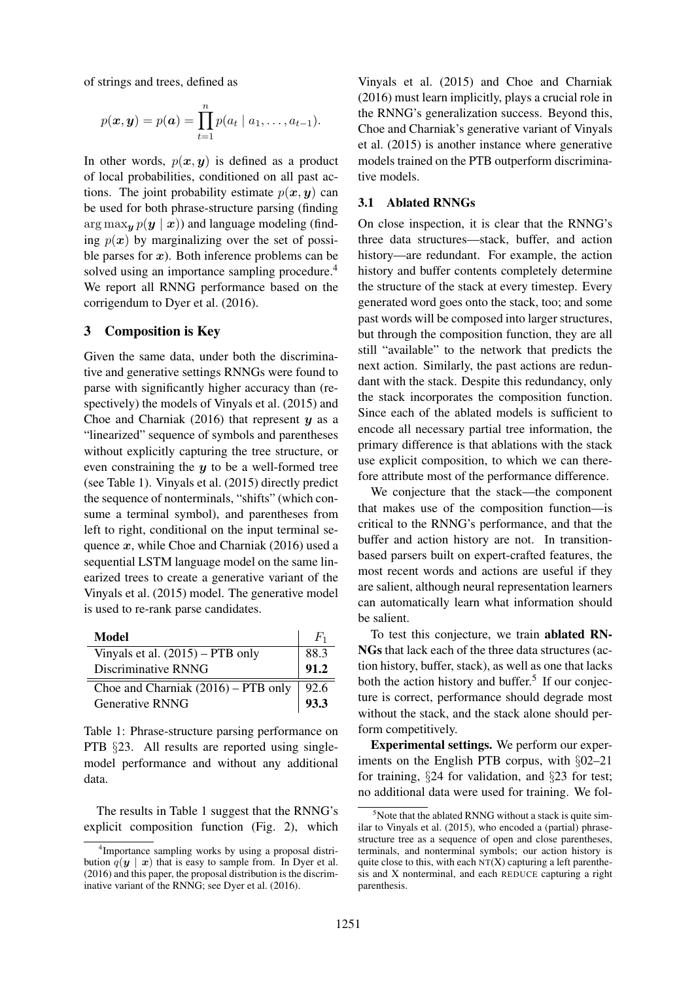of strings and trees, defined as

$$
p(\boldsymbol{x}, \boldsymbol{y}) = p(\boldsymbol{a}) = \prod_{t=1}^{n} p(a_t | a_1, \ldots, a_{t-1}).
$$

In other words,  $p(x, y)$  is defined as a product of local probabilities, conditioned on all past actions. The joint probability estimate  $p(x, y)$  can be used for both phrase-structure parsing (finding  $\arg \max_{\mathbf{y}} p(\mathbf{y} | \mathbf{x})$  and language modeling (finding  $p(x)$  by marginalizing over the set of possible parses for  $x$ ). Both inference problems can be solved using an importance sampling procedure.<sup>4</sup> We report all RNNG performance based on the corrigendum to Dyer et al. (2016).

### 3 Composition is Key

Given the same data, under both the discriminative and generative settings RNNGs were found to parse with significantly higher accuracy than (respectively) the models of Vinyals et al. (2015) and Choe and Charniak  $(2016)$  that represent y as a "linearized" sequence of symbols and parentheses without explicitly capturing the tree structure, or even constraining the  $y$  to be a well-formed tree (see Table 1). Vinyals et al. (2015) directly predict the sequence of nonterminals, "shifts" (which consume a terminal symbol), and parentheses from left to right, conditional on the input terminal sequence  $x$ , while Choe and Charniak (2016) used a sequential LSTM language model on the same linearized trees to create a generative variant of the Vinyals et al. (2015) model. The generative model is used to re-rank parse candidates.

| Model                                 | $F_1$ |
|---------------------------------------|-------|
| Vinyals et al. $(2015)$ – PTB only    | 88.3  |
| Discriminative RNNG                   | 91.2  |
| Choe and Charniak $(2016)$ – PTB only | 92.6  |
| <b>Generative RNNG</b>                | 93.3  |

Table 1: Phrase-structure parsing performance on PTB §23. All results are reported using singlemodel performance and without any additional data.

The results in Table 1 suggest that the RNNG's explicit composition function (Fig. 2), which

Vinyals et al. (2015) and Choe and Charniak (2016) must learn implicitly, plays a crucial role in the RNNG's generalization success. Beyond this, Choe and Charniak's generative variant of Vinyals et al. (2015) is another instance where generative models trained on the PTB outperform discriminative models.

### 3.1 Ablated RNNGs

On close inspection, it is clear that the RNNG's three data structures—stack, buffer, and action history—are redundant. For example, the action history and buffer contents completely determine the structure of the stack at every timestep. Every generated word goes onto the stack, too; and some past words will be composed into larger structures, but through the composition function, they are all still "available" to the network that predicts the next action. Similarly, the past actions are redundant with the stack. Despite this redundancy, only the stack incorporates the composition function. Since each of the ablated models is sufficient to encode all necessary partial tree information, the primary difference is that ablations with the stack use explicit composition, to which we can therefore attribute most of the performance difference.

We conjecture that the stack—the component that makes use of the composition function—is critical to the RNNG's performance, and that the buffer and action history are not. In transitionbased parsers built on expert-crafted features, the most recent words and actions are useful if they are salient, although neural representation learners can automatically learn what information should be salient.

To test this conjecture, we train ablated RN-NGs that lack each of the three data structures (action history, buffer, stack), as well as one that lacks both the action history and buffer.<sup>5</sup> If our conjecture is correct, performance should degrade most without the stack, and the stack alone should perform competitively.

Experimental settings. We perform our experiments on the English PTB corpus, with §02–21 for training, §24 for validation, and §23 for test; no additional data were used for training. We fol-

<sup>4</sup> Importance sampling works by using a proposal distribution  $q(y \mid x)$  that is easy to sample from. In Dyer et al. (2016) and this paper, the proposal distribution is the discriminative variant of the RNNG; see Dyer et al. (2016).

 $5$ Note that the ablated RNNG without a stack is quite similar to Vinyals et al. (2015), who encoded a (partial) phrasestructure tree as a sequence of open and close parentheses, terminals, and nonterminal symbols; our action history is quite close to this, with each  $NT(X)$  capturing a left parenthesis and X nonterminal, and each REDUCE capturing a right parenthesis.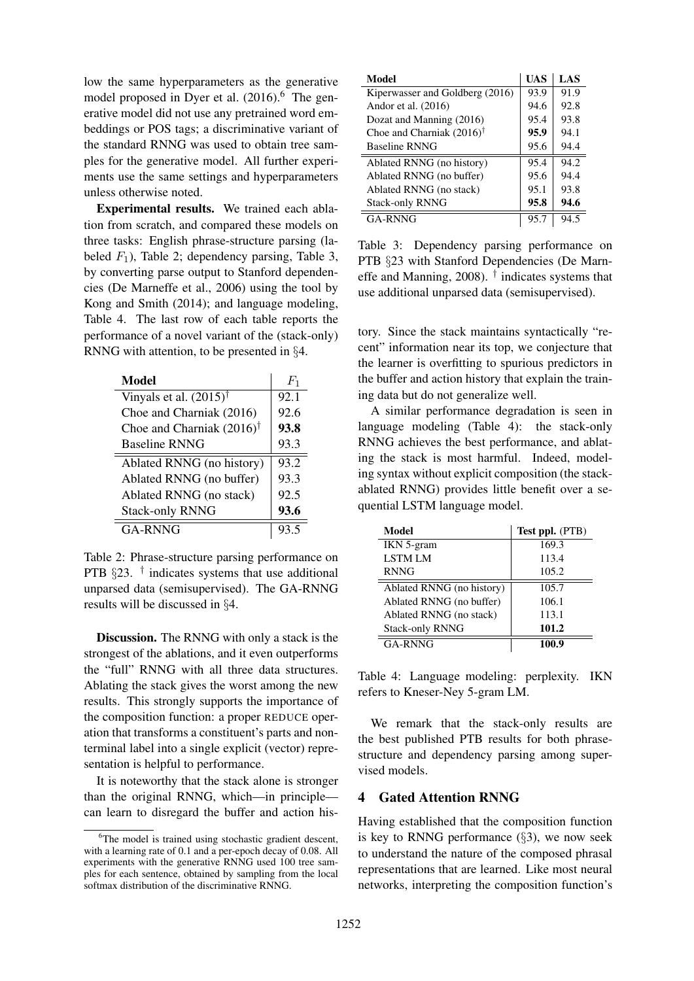low the same hyperparameters as the generative model proposed in Dyer et al.  $(2016)$ <sup>6</sup>. The generative model did not use any pretrained word embeddings or POS tags; a discriminative variant of the standard RNNG was used to obtain tree samples for the generative model. All further experiments use the same settings and hyperparameters unless otherwise noted.

Experimental results. We trained each ablation from scratch, and compared these models on three tasks: English phrase-structure parsing (labeled  $F_1$ ), Table 2; dependency parsing, Table 3, by converting parse output to Stanford dependencies (De Marneffe et al., 2006) using the tool by Kong and Smith (2014); and language modeling, Table 4. The last row of each table reports the performance of a novel variant of the (stack-only) RNNG with attention, to be presented in §4.

| Model                                | $F_1$ |
|--------------------------------------|-------|
| Vinyals et al. $(2015)^{\dagger}$    | 92.1  |
| Choe and Charniak (2016)             | 92.6  |
| Choe and Charniak $(2016)^{\dagger}$ | 93.8  |
| <b>Baseline RNNG</b>                 | 93.3  |
| Ablated RNNG (no history)            | 93.2  |
| Ablated RNNG (no buffer)             | 93.3  |
| Ablated RNNG (no stack)              | 92.5  |
| <b>Stack-only RNNG</b>               | 93.6  |
| GA-RNNG                              |       |

Table 2: Phrase-structure parsing performance on PTB  $\S 23$ . <sup>†</sup> indicates systems that use additional unparsed data (semisupervised). The GA-RNNG results will be discussed in §4.

Discussion. The RNNG with only a stack is the strongest of the ablations, and it even outperforms the "full" RNNG with all three data structures. Ablating the stack gives the worst among the new results. This strongly supports the importance of the composition function: a proper REDUCE operation that transforms a constituent's parts and nonterminal label into a single explicit (vector) representation is helpful to performance.

It is noteworthy that the stack alone is stronger than the original RNNG, which—in principle can learn to disregard the buffer and action his-

| Model                                | UAS  | LAS  |
|--------------------------------------|------|------|
| Kiperwasser and Goldberg (2016)      | 93.9 | 91.9 |
| Andor et al. (2016)                  | 94.6 | 92.8 |
| Dozat and Manning (2016)             | 95.4 | 93.8 |
| Choe and Charniak $(2016)^{\dagger}$ | 95.9 | 94.1 |
| <b>Baseline RNNG</b>                 | 95.6 | 94.4 |
| Ablated RNNG (no history)            | 95.4 | 94.2 |
| Ablated RNNG (no buffer)             | 95.6 | 94.4 |
| Ablated RNNG (no stack)              | 95.1 | 93.8 |
| <b>Stack-only RNNG</b>               | 95.8 | 94.6 |
| GA-RNNG                              | 95.7 | 94.5 |

Table 3: Dependency parsing performance on PTB §23 with Stanford Dependencies (De Marneffe and Manning, 2008).  $\dagger$  indicates systems that use additional unparsed data (semisupervised).

tory. Since the stack maintains syntactically "recent" information near its top, we conjecture that the learner is overfitting to spurious predictors in the buffer and action history that explain the training data but do not generalize well.

A similar performance degradation is seen in language modeling (Table 4): the stack-only RNNG achieves the best performance, and ablating the stack is most harmful. Indeed, modeling syntax without explicit composition (the stackablated RNNG) provides little benefit over a sequential LSTM language model.

| Model                     | <b>Test ppl.</b> (PTB) |
|---------------------------|------------------------|
| IKN 5-gram                | 169.3                  |
| <b>LSTM LM</b>            | 113.4                  |
| <b>RNNG</b>               | 105.2                  |
| Ablated RNNG (no history) | 105.7                  |
| Ablated RNNG (no buffer)  | 106.1                  |
| Ablated RNNG (no stack)   | 113.1                  |
| <b>Stack-only RNNG</b>    | 101.2                  |
| <b>GA-RNNG</b>            | 100.9                  |

Table 4: Language modeling: perplexity. IKN refers to Kneser-Ney 5-gram LM.

We remark that the stack-only results are the best published PTB results for both phrasestructure and dependency parsing among supervised models.

# 4 Gated Attention RNNG

Having established that the composition function is key to RNNG performance  $(\S 3)$ , we now seek to understand the nature of the composed phrasal representations that are learned. Like most neural networks, interpreting the composition function's

<sup>&</sup>lt;sup>6</sup>The model is trained using stochastic gradient descent, with a learning rate of 0.1 and a per-epoch decay of 0.08. All experiments with the generative RNNG used 100 tree samples for each sentence, obtained by sampling from the local softmax distribution of the discriminative RNNG.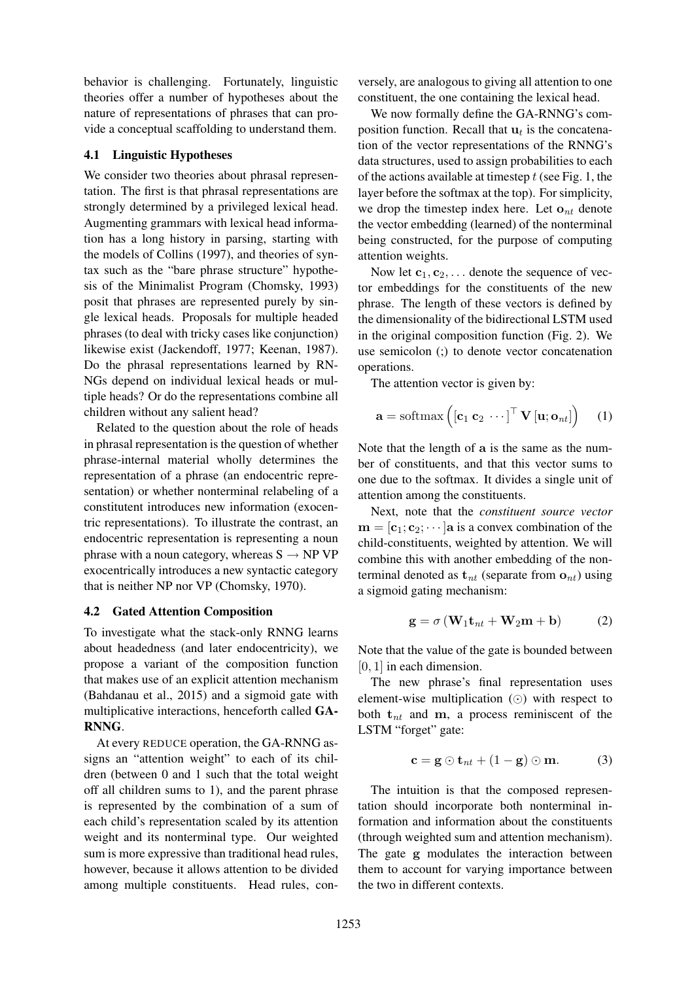behavior is challenging. Fortunately, linguistic theories offer a number of hypotheses about the nature of representations of phrases that can provide a conceptual scaffolding to understand them.

#### 4.1 Linguistic Hypotheses

We consider two theories about phrasal representation. The first is that phrasal representations are strongly determined by a privileged lexical head. Augmenting grammars with lexical head information has a long history in parsing, starting with the models of Collins (1997), and theories of syntax such as the "bare phrase structure" hypothesis of the Minimalist Program (Chomsky, 1993) posit that phrases are represented purely by single lexical heads. Proposals for multiple headed phrases (to deal with tricky cases like conjunction) likewise exist (Jackendoff, 1977; Keenan, 1987). Do the phrasal representations learned by RN-NGs depend on individual lexical heads or multiple heads? Or do the representations combine all children without any salient head?

Related to the question about the role of heads in phrasal representation is the question of whether phrase-internal material wholly determines the representation of a phrase (an endocentric representation) or whether nonterminal relabeling of a constitutent introduces new information (exocentric representations). To illustrate the contrast, an endocentric representation is representing a noun phrase with a noun category, whereas  $S \rightarrow NP VP$ exocentrically introduces a new syntactic category that is neither NP nor VP (Chomsky, 1970).

### 4.2 Gated Attention Composition

To investigate what the stack-only RNNG learns about headedness (and later endocentricity), we propose a variant of the composition function that makes use of an explicit attention mechanism (Bahdanau et al., 2015) and a sigmoid gate with multiplicative interactions, henceforth called GA-RNNG.

At every REDUCE operation, the GA-RNNG assigns an "attention weight" to each of its children (between 0 and 1 such that the total weight off all children sums to 1), and the parent phrase is represented by the combination of a sum of each child's representation scaled by its attention weight and its nonterminal type. Our weighted sum is more expressive than traditional head rules, however, because it allows attention to be divided among multiple constituents. Head rules, conversely, are analogous to giving all attention to one constituent, the one containing the lexical head.

We now formally define the GA-RNNG's composition function. Recall that  $\mathbf{u}_t$  is the concatenation of the vector representations of the RNNG's data structures, used to assign probabilities to each of the actions available at timestep  $t$  (see Fig. 1, the layer before the softmax at the top). For simplicity, we drop the timestep index here. Let  $\mathbf{o}_{nt}$  denote the vector embedding (learned) of the nonterminal being constructed, for the purpose of computing attention weights.

Now let  $c_1, c_2, \ldots$  denote the sequence of vector embeddings for the constituents of the new phrase. The length of these vectors is defined by the dimensionality of the bidirectional LSTM used in the original composition function (Fig. 2). We use semicolon (;) to denote vector concatenation operations.

The attention vector is given by:

$$
\mathbf{a} = \text{softmax}\left(\begin{bmatrix} \mathbf{c}_1 & \mathbf{c}_2 & \cdots \end{bmatrix}^\top \mathbf{V} \begin{bmatrix} \mathbf{u}; \mathbf{o}_{nt} \end{bmatrix}\right) \quad (1)
$$

Note that the length of a is the same as the number of constituents, and that this vector sums to one due to the softmax. It divides a single unit of attention among the constituents.

Next, note that the *constituent source vector*  $\mathbf{m} = [\mathbf{c}_1; \mathbf{c}_2; \cdots]$  a is a convex combination of the child-constituents, weighted by attention. We will combine this with another embedding of the nonterminal denoted as  $t_{nt}$  (separate from  $o_{nt}$ ) using a sigmoid gating mechanism:

$$
\mathbf{g} = \sigma \left( \mathbf{W}_1 \mathbf{t}_{nt} + \mathbf{W}_2 \mathbf{m} + \mathbf{b} \right) \tag{2}
$$

Note that the value of the gate is bounded between [0, 1] in each dimension.

The new phrase's final representation uses element-wise multiplication  $\circled{\odot}$  with respect to both  $t_{nt}$  and m, a process reminiscent of the LSTM "forget" gate:

$$
\mathbf{c} = \mathbf{g} \odot \mathbf{t}_{nt} + (1 - \mathbf{g}) \odot \mathbf{m}.
$$
 (3)

The intuition is that the composed representation should incorporate both nonterminal information and information about the constituents (through weighted sum and attention mechanism). The gate g modulates the interaction between them to account for varying importance between the two in different contexts.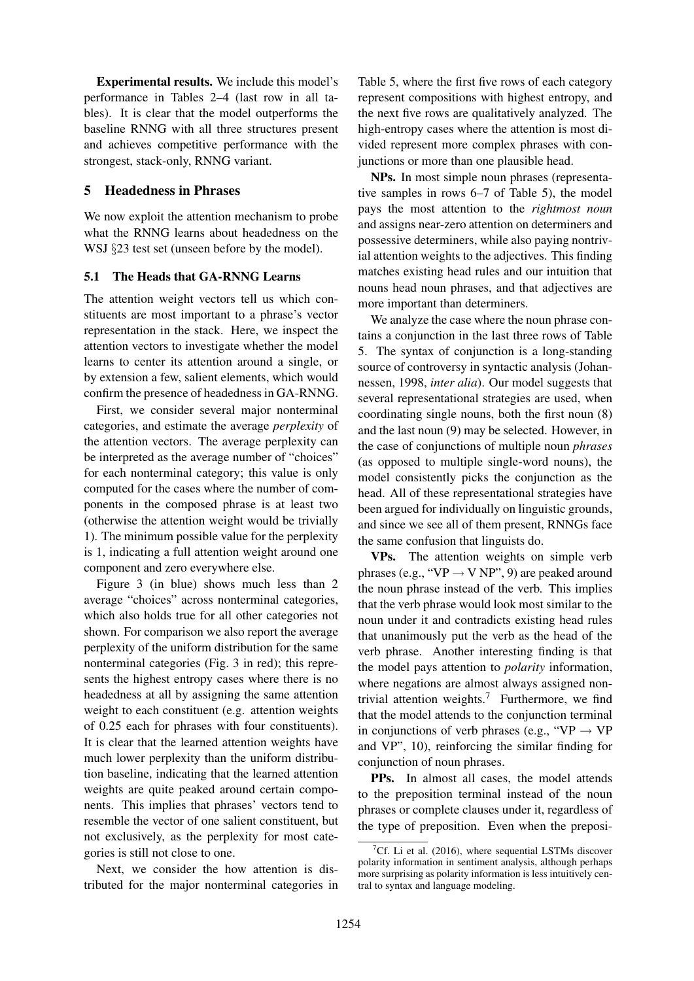Experimental results. We include this model's performance in Tables 2–4 (last row in all tables). It is clear that the model outperforms the baseline RNNG with all three structures present and achieves competitive performance with the strongest, stack-only, RNNG variant.

### 5 Headedness in Phrases

We now exploit the attention mechanism to probe what the RNNG learns about headedness on the WSJ §23 test set (unseen before by the model).

### 5.1 The Heads that GA-RNNG Learns

The attention weight vectors tell us which constituents are most important to a phrase's vector representation in the stack. Here, we inspect the attention vectors to investigate whether the model learns to center its attention around a single, or by extension a few, salient elements, which would confirm the presence of headedness in GA-RNNG.

First, we consider several major nonterminal categories, and estimate the average *perplexity* of the attention vectors. The average perplexity can be interpreted as the average number of "choices" for each nonterminal category; this value is only computed for the cases where the number of components in the composed phrase is at least two (otherwise the attention weight would be trivially 1). The minimum possible value for the perplexity is 1, indicating a full attention weight around one component and zero everywhere else.

Figure 3 (in blue) shows much less than 2 average "choices" across nonterminal categories, which also holds true for all other categories not shown. For comparison we also report the average perplexity of the uniform distribution for the same nonterminal categories (Fig. 3 in red); this represents the highest entropy cases where there is no headedness at all by assigning the same attention weight to each constituent (e.g. attention weights of 0.25 each for phrases with four constituents). It is clear that the learned attention weights have much lower perplexity than the uniform distribution baseline, indicating that the learned attention weights are quite peaked around certain components. This implies that phrases' vectors tend to resemble the vector of one salient constituent, but not exclusively, as the perplexity for most categories is still not close to one.

Next, we consider the how attention is distributed for the major nonterminal categories in

Table 5, where the first five rows of each category represent compositions with highest entropy, and the next five rows are qualitatively analyzed. The high-entropy cases where the attention is most divided represent more complex phrases with conjunctions or more than one plausible head.

NPs. In most simple noun phrases (representative samples in rows 6–7 of Table 5), the model pays the most attention to the *rightmost noun* and assigns near-zero attention on determiners and possessive determiners, while also paying nontrivial attention weights to the adjectives. This finding matches existing head rules and our intuition that nouns head noun phrases, and that adjectives are more important than determiners.

We analyze the case where the noun phrase contains a conjunction in the last three rows of Table 5. The syntax of conjunction is a long-standing source of controversy in syntactic analysis (Johannessen, 1998, *inter alia*). Our model suggests that several representational strategies are used, when coordinating single nouns, both the first noun (8) and the last noun (9) may be selected. However, in the case of conjunctions of multiple noun *phrases* (as opposed to multiple single-word nouns), the model consistently picks the conjunction as the head. All of these representational strategies have been argued for individually on linguistic grounds, and since we see all of them present, RNNGs face the same confusion that linguists do.

VPs. The attention weights on simple verb phrases (e.g., "VP  $\rightarrow$  V NP", 9) are peaked around the noun phrase instead of the verb. This implies that the verb phrase would look most similar to the noun under it and contradicts existing head rules that unanimously put the verb as the head of the verb phrase. Another interesting finding is that the model pays attention to *polarity* information, where negations are almost always assigned nontrivial attention weights.<sup>7</sup> Furthermore, we find that the model attends to the conjunction terminal in conjunctions of verb phrases (e.g., "VP  $\rightarrow$  VP and VP", 10), reinforcing the similar finding for conjunction of noun phrases.

PPs. In almost all cases, the model attends to the preposition terminal instead of the noun phrases or complete clauses under it, regardless of the type of preposition. Even when the preposi-

<sup>&</sup>lt;sup>7</sup>Cf. Li et al. (2016), where sequential LSTMs discover polarity information in sentiment analysis, although perhaps more surprising as polarity information is less intuitively central to syntax and language modeling.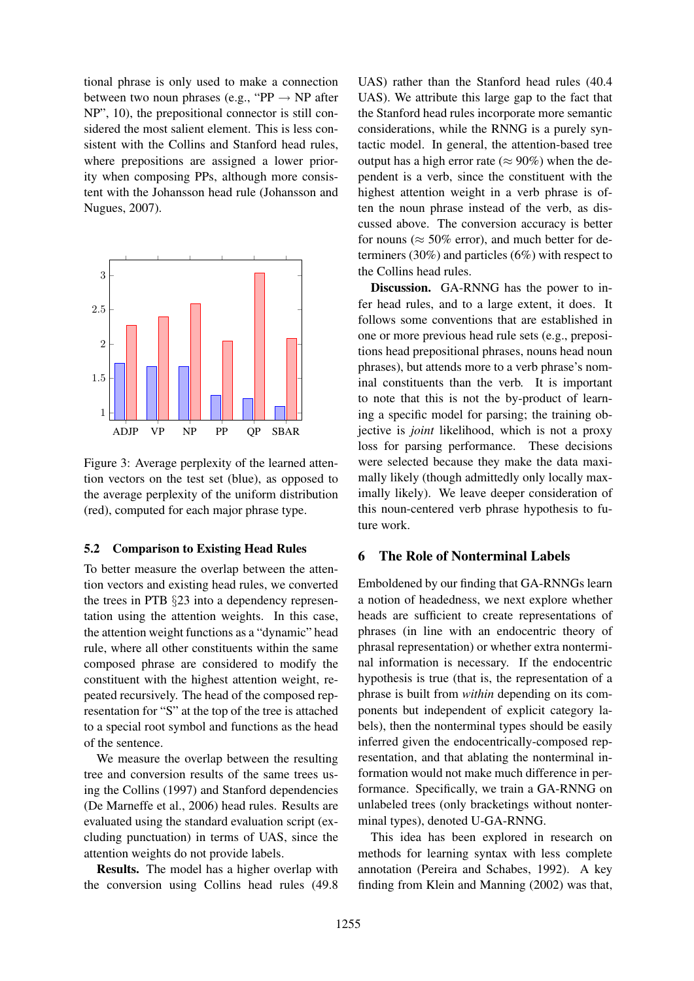tional phrase is only used to make a connection between two noun phrases (e.g., "PP  $\rightarrow$  NP after NP", 10), the prepositional connector is still considered the most salient element. This is less consistent with the Collins and Stanford head rules, where prepositions are assigned a lower priority when composing PPs, although more consistent with the Johansson head rule (Johansson and Nugues, 2007).



Figure 3: Average perplexity of the learned attention vectors on the test set (blue), as opposed to the average perplexity of the uniform distribution (red), computed for each major phrase type.

### 5.2 Comparison to Existing Head Rules

To better measure the overlap between the attention vectors and existing head rules, we converted the trees in PTB §23 into a dependency representation using the attention weights. In this case, the attention weight functions as a "dynamic" head rule, where all other constituents within the same composed phrase are considered to modify the constituent with the highest attention weight, repeated recursively. The head of the composed representation for "S" at the top of the tree is attached to a special root symbol and functions as the head of the sentence.

We measure the overlap between the resulting tree and conversion results of the same trees using the Collins (1997) and Stanford dependencies (De Marneffe et al., 2006) head rules. Results are evaluated using the standard evaluation script (excluding punctuation) in terms of UAS, since the attention weights do not provide labels.

Results. The model has a higher overlap with the conversion using Collins head rules (49.8

UAS) rather than the Stanford head rules (40.4 UAS). We attribute this large gap to the fact that the Stanford head rules incorporate more semantic considerations, while the RNNG is a purely syntactic model. In general, the attention-based tree output has a high error rate ( $\approx 90\%$ ) when the dependent is a verb, since the constituent with the highest attention weight in a verb phrase is often the noun phrase instead of the verb, as discussed above. The conversion accuracy is better for nouns ( $\approx$  50% error), and much better for determiners (30%) and particles (6%) with respect to the Collins head rules.

Discussion. GA-RNNG has the power to infer head rules, and to a large extent, it does. It follows some conventions that are established in one or more previous head rule sets (e.g., prepositions head prepositional phrases, nouns head noun phrases), but attends more to a verb phrase's nominal constituents than the verb. It is important to note that this is not the by-product of learning a specific model for parsing; the training objective is *joint* likelihood, which is not a proxy loss for parsing performance. These decisions were selected because they make the data maximally likely (though admittedly only locally maximally likely). We leave deeper consideration of this noun-centered verb phrase hypothesis to future work.

### 6 The Role of Nonterminal Labels

Emboldened by our finding that GA-RNNGs learn a notion of headedness, we next explore whether heads are sufficient to create representations of phrases (in line with an endocentric theory of phrasal representation) or whether extra nonterminal information is necessary. If the endocentric hypothesis is true (that is, the representation of a phrase is built from *within* depending on its components but independent of explicit category labels), then the nonterminal types should be easily inferred given the endocentrically-composed representation, and that ablating the nonterminal information would not make much difference in performance. Specifically, we train a GA-RNNG on unlabeled trees (only bracketings without nonterminal types), denoted U-GA-RNNG.

This idea has been explored in research on methods for learning syntax with less complete annotation (Pereira and Schabes, 1992). A key finding from Klein and Manning (2002) was that,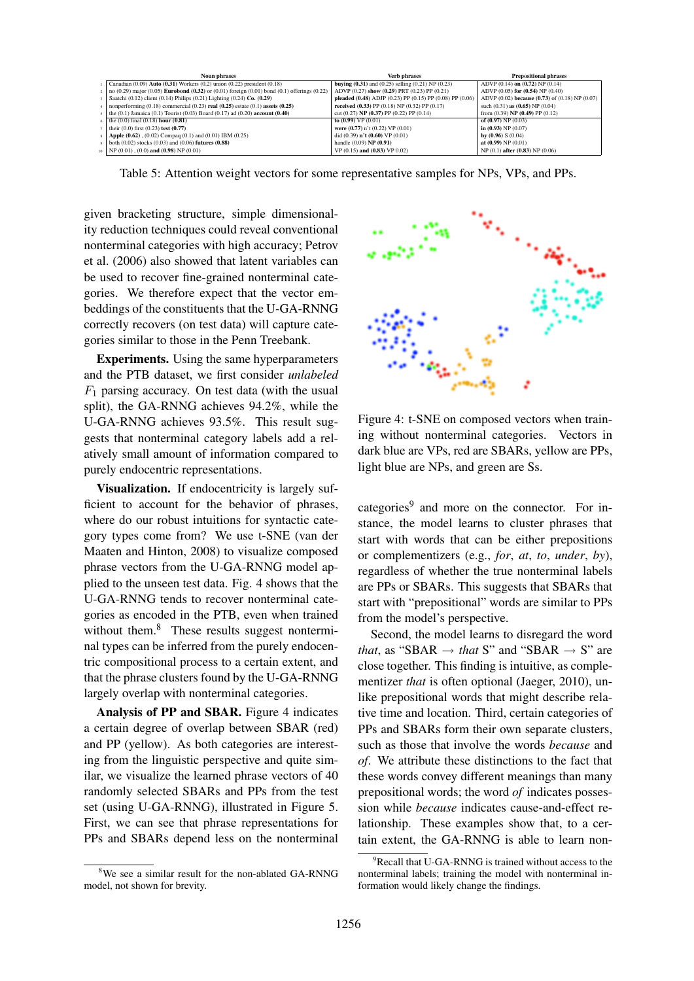| <b>Noun phrases</b>                                                                                        | <b>Verb phrases</b>                                                | <b>Prepositional phrases</b>                   |
|------------------------------------------------------------------------------------------------------------|--------------------------------------------------------------------|------------------------------------------------|
| Canadian $(0.09)$ Auto $(0.31)$ Workers $(0.2)$ union $(0.22)$ president $(0.18)$                          | <b>buying (0.31)</b> and (0.25) selling (0.21) NP (0.23)           | ADVP $(0.14)$ on $(0.72)$ NP $(0.14)$          |
| no (0.29) major (0.05) <b>Eurobond (0.32)</b> or (0.01) foreign (0.01) bond (0.1) offerings (0.22)         | ADVP (0.27) show (0.29) PRT (0.23) PP (0.21)                       | ADVP $(0.05)$ for $(0.54)$ NP $(0.40)$         |
| Saatchi (0.12) client (0.14) Philips (0.21) Lighting (0.24) Co. (0.29)                                     | pleaded $(0.48)$ ADJP $(0.23)$ PP $(0.15)$ PP $(0.08)$ PP $(0.06)$ | ADVP (0.02) because (0.73) of (0.18) NP (0.07) |
| nonperforming $(0.18)$ commercial $(0.23)$ real $(0.25)$ estate $(0.1)$ assets $(0.25)$                    | received $(0.33)$ PP $(0.18)$ NP $(0.32)$ PP $(0.17)$              | such $(0.31)$ as $(0.65)$ NP $(0.04)$          |
| the $(0.1)$ Jamaica $(0.1)$ Tourist $(0.03)$ Board $(0.17)$ ad $(0.20)$ <b>account <math>(0.40)</math></b> | cut $(0.27)$ NP $(0.37)$ PP $(0.22)$ PP $(0.14)$                   | from $(0.39)$ NP $(0.49)$ PP $(0.12)$          |
| the $(0.0)$ final $(0.18)$ hour $(0.81)$                                                                   | to $(0.99) \overline{VP}(0.01)$                                    | of $(0.97)$ NP $(0.03)$                        |
| their $(0.0)$ first $(0.23)$ test $(0.77)$                                                                 | were $(0.77)$ n't $(0.22)$ VP $(0.01)$                             | in $(0.93)$ NP $(0.07)$                        |
| <b>Apple <math>(0.62)</math></b> , $(0.02)$ Compaq $(0.1)$ and $(0.01)$ IBM $(0.25)$                       | did $(0.39)$ n't $(0.60)$ VP $(0.01)$                              | by $(0.96)$ S $(0.04)$                         |
| both $(0.02)$ stocks $(0.03)$ and $(0.06)$ futures $(0.88)$                                                | handle $(0.09)$ NP $(0.91)$                                        | at $(0.99)$ NP $(0.01)$                        |
| $_{10}$ NP (0.01), (0.0) and (0.98) NP (0.01)                                                              | VP (0.15) and (0.83) VP 0.02)                                      | NP (0.1) after (0.83) NP (0.06)                |

Table 5: Attention weight vectors for some representative samples for NPs, VPs, and PPs.

given bracketing structure, simple dimensionality reduction techniques could reveal conventional nonterminal categories with high accuracy; Petrov et al. (2006) also showed that latent variables can be used to recover fine-grained nonterminal categories. We therefore expect that the vector embeddings of the constituents that the U-GA-RNNG correctly recovers (on test data) will capture categories similar to those in the Penn Treebank.

Experiments. Using the same hyperparameters and the PTB dataset, we first consider *unlabeled*  $F_1$  parsing accuracy. On test data (with the usual split), the GA-RNNG achieves 94.2%, while the U-GA-RNNG achieves 93.5%. This result suggests that nonterminal category labels add a relatively small amount of information compared to purely endocentric representations.

Visualization. If endocentricity is largely sufficient to account for the behavior of phrases, where do our robust intuitions for syntactic category types come from? We use t-SNE (van der Maaten and Hinton, 2008) to visualize composed phrase vectors from the U-GA-RNNG model applied to the unseen test data. Fig. 4 shows that the U-GA-RNNG tends to recover nonterminal categories as encoded in the PTB, even when trained without them. $8$  These results suggest nonterminal types can be inferred from the purely endocentric compositional process to a certain extent, and that the phrase clusters found by the U-GA-RNNG largely overlap with nonterminal categories.

Analysis of PP and SBAR. Figure 4 indicates a certain degree of overlap between SBAR (red) and PP (yellow). As both categories are interesting from the linguistic perspective and quite similar, we visualize the learned phrase vectors of 40 randomly selected SBARs and PPs from the test set (using U-GA-RNNG), illustrated in Figure 5. First, we can see that phrase representations for PPs and SBARs depend less on the nonterminal





Figure 4: t-SNE on composed vectors when training without nonterminal categories. Vectors in dark blue are VPs, red are SBARs, yellow are PPs, light blue are NPs, and green are Ss.

categories<sup>9</sup> and more on the connector. For instance, the model learns to cluster phrases that start with words that can be either prepositions or complementizers (e.g., *for*, *at*, *to*, *under*, *by*), regardless of whether the true nonterminal labels are PPs or SBARs. This suggests that SBARs that start with "prepositional" words are similar to PPs from the model's perspective.

Second, the model learns to disregard the word *that*, as "SBAR  $\rightarrow$  *that* S" and "SBAR  $\rightarrow$  S" are close together. This finding is intuitive, as complementizer *that* is often optional (Jaeger, 2010), unlike prepositional words that might describe relative time and location. Third, certain categories of PPs and SBARs form their own separate clusters, such as those that involve the words *because* and *of*. We attribute these distinctions to the fact that these words convey different meanings than many prepositional words; the word *of* indicates possession while *because* indicates cause-and-effect relationship. These examples show that, to a certain extent, the GA-RNNG is able to learn non-

 $P^9$ Recall that U-GA-RNNG is trained without access to the nonterminal labels; training the model with nonterminal information would likely change the findings.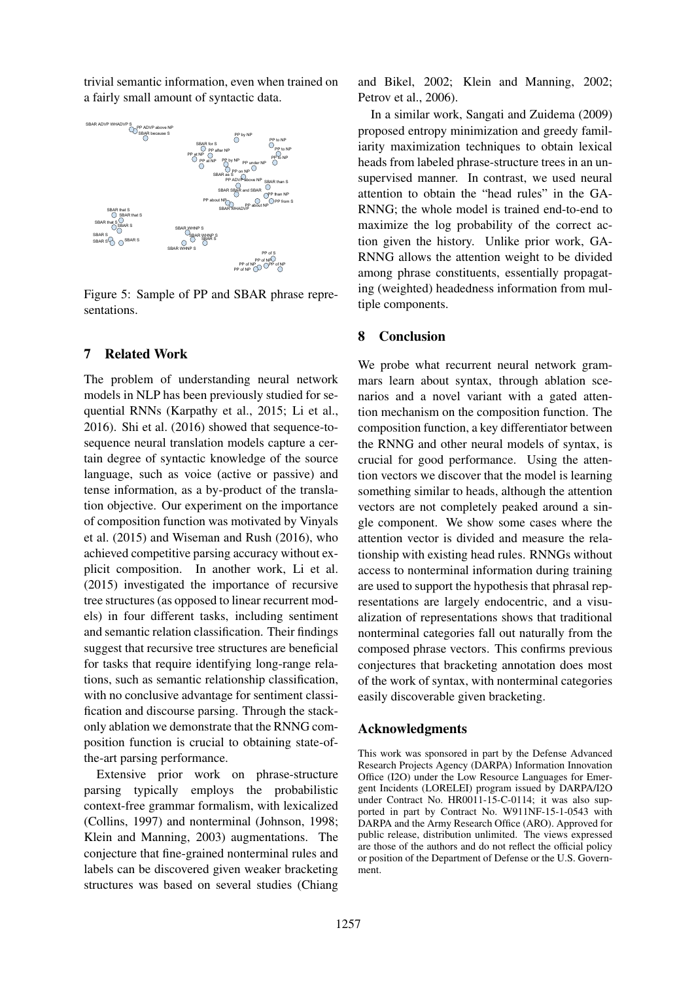trivial semantic information, even when trained on a fairly small amount of syntactic data.



Figure 5: Sample of PP and SBAR phrase representations.

### 7 Related Work

The problem of understanding neural network models in NLP has been previously studied for sequential RNNs (Karpathy et al., 2015; Li et al., 2016). Shi et al. (2016) showed that sequence-tosequence neural translation models capture a certain degree of syntactic knowledge of the source language, such as voice (active or passive) and tense information, as a by-product of the translation objective. Our experiment on the importance of composition function was motivated by Vinyals et al. (2015) and Wiseman and Rush (2016), who achieved competitive parsing accuracy without explicit composition. In another work, Li et al. (2015) investigated the importance of recursive tree structures (as opposed to linear recurrent models) in four different tasks, including sentiment and semantic relation classification. Their findings suggest that recursive tree structures are beneficial for tasks that require identifying long-range relations, such as semantic relationship classification, with no conclusive advantage for sentiment classification and discourse parsing. Through the stackonly ablation we demonstrate that the RNNG composition function is crucial to obtaining state-ofthe-art parsing performance.

Extensive prior work on phrase-structure parsing typically employs the probabilistic context-free grammar formalism, with lexicalized (Collins, 1997) and nonterminal (Johnson, 1998; Klein and Manning, 2003) augmentations. The conjecture that fine-grained nonterminal rules and labels can be discovered given weaker bracketing structures was based on several studies (Chiang

and Bikel, 2002; Klein and Manning, 2002; Petrov et al., 2006).

In a similar work, Sangati and Zuidema (2009) proposed entropy minimization and greedy familiarity maximization techniques to obtain lexical heads from labeled phrase-structure trees in an unsupervised manner. In contrast, we used neural attention to obtain the "head rules" in the GA-RNNG; the whole model is trained end-to-end to maximize the log probability of the correct action given the history. Unlike prior work, GA-RNNG allows the attention weight to be divided among phrase constituents, essentially propagating (weighted) headedness information from multiple components.

### 8 Conclusion

We probe what recurrent neural network grammars learn about syntax, through ablation scenarios and a novel variant with a gated attention mechanism on the composition function. The composition function, a key differentiator between the RNNG and other neural models of syntax, is crucial for good performance. Using the attention vectors we discover that the model is learning something similar to heads, although the attention vectors are not completely peaked around a single component. We show some cases where the attention vector is divided and measure the relationship with existing head rules. RNNGs without access to nonterminal information during training are used to support the hypothesis that phrasal representations are largely endocentric, and a visualization of representations shows that traditional nonterminal categories fall out naturally from the composed phrase vectors. This confirms previous conjectures that bracketing annotation does most of the work of syntax, with nonterminal categories easily discoverable given bracketing.

#### Acknowledgments

This work was sponsored in part by the Defense Advanced Research Projects Agency (DARPA) Information Innovation Office (I2O) under the Low Resource Languages for Emergent Incidents (LORELEI) program issued by DARPA/I2O under Contract No. HR0011-15-C-0114; it was also supported in part by Contract No. W911NF-15-1-0543 with DARPA and the Army Research Office (ARO). Approved for public release, distribution unlimited. The views expressed are those of the authors and do not reflect the official policy or position of the Department of Defense or the U.S. Government.